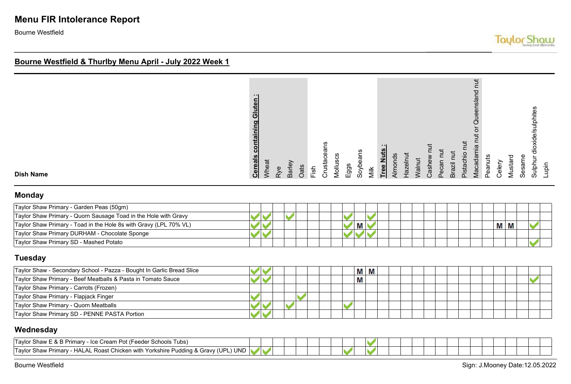# **Menu FIR Intolerance Report**

Bourne Westfield

#### **Bourne Westfield & Thurlby Menu April - July 2022 Week 1**

|  | $\blacksquare$<br>containing Gluten<br><b>Cereals</b> | Wheat | Rye | Barley | Oats | Fish | Crustaceans | Molluscs | $E$ ggs | Soybeans | Nilk | Tree Nuts | Almonds | Hazelnut | Walnut | Cashew nut | Pecan nut | Brazil nut | Pistachio nut | <b>TUT</b><br>Macadamia nut or Queensland | Peanuts | Celery | Mustard | Sesame | Sulphur dioxide/sulphites | Lupin |
|--|-------------------------------------------------------|-------|-----|--------|------|------|-------------|----------|---------|----------|------|-----------|---------|----------|--------|------------|-----------|------------|---------------|-------------------------------------------|---------|--------|---------|--------|---------------------------|-------|
|--|-------------------------------------------------------|-------|-----|--------|------|------|-------------|----------|---------|----------|------|-----------|---------|----------|--------|------------|-----------|------------|---------------|-------------------------------------------|---------|--------|---------|--------|---------------------------|-------|

**Dish Name**

#### **Monday**

| Taylor Shaw Primary - Garden Peas (50gm)                          |  |  |  |  |  |  |  |  |  |     |  |  |
|-------------------------------------------------------------------|--|--|--|--|--|--|--|--|--|-----|--|--|
| Taylor Shaw Primary - Quorn Sausage Toad in the Hole with Gravy   |  |  |  |  |  |  |  |  |  |     |  |  |
| Taylor Shaw Primary - Toad in the Hole 8s with Gravy (LPL 70% VL) |  |  |  |  |  |  |  |  |  | M M |  |  |
| Taylor Shaw Primary DURHAM - Chocolate Sponge                     |  |  |  |  |  |  |  |  |  |     |  |  |
| Taylor Shaw Primary SD - Mashed Potato                            |  |  |  |  |  |  |  |  |  |     |  |  |

#### **Tuesday**

| Taylor Shaw - Secondary School - Pazza - Bought In Garlic Bread Slice |  |  |  |  | M   | Μ |  |  |  |  |  |  |  |
|-----------------------------------------------------------------------|--|--|--|--|-----|---|--|--|--|--|--|--|--|
| Taylor Shaw Primary - Beef Meatballs & Pasta in Tomato Sauce          |  |  |  |  | IVІ |   |  |  |  |  |  |  |  |
| Taylor Shaw Primary - Carrots (Frozen)                                |  |  |  |  |     |   |  |  |  |  |  |  |  |
| Taylor Shaw Primary - Flapjack Finger                                 |  |  |  |  |     |   |  |  |  |  |  |  |  |
| Taylor Shaw Primary - Quorn Meatballs                                 |  |  |  |  |     |   |  |  |  |  |  |  |  |
| Taylor Shaw Primary SD - PENNE PASTA Portion                          |  |  |  |  |     |   |  |  |  |  |  |  |  |

#### **Wednesday**

| Tavlor Shaw<br><sub>−</sub> & B Primarv - Ice <sup>r</sup><br>e Cream Pot (Feeder Schools Tubs)          |  |  |  |  |  |  |  |  |  |
|----------------------------------------------------------------------------------------------------------|--|--|--|--|--|--|--|--|--|
| <b>UND</b><br>Tavlor Shav<br>(UPL)<br>- HALAL Roast Chicken with Yorkshire Pudding & Gravy ('<br>Primary |  |  |  |  |  |  |  |  |  |

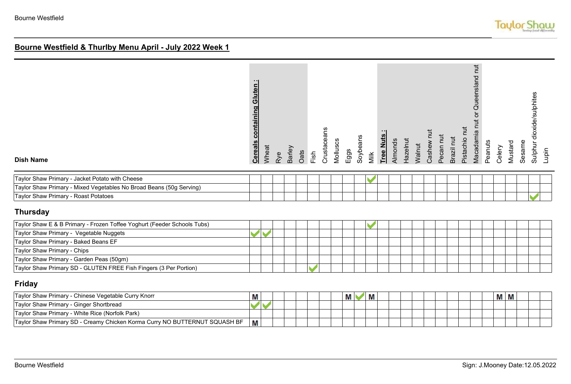| <b>Cereals containing Gluten:</b> | Wheat | Barley | Fish | Crustaceans | Molluscs | Eggs | Soybeans |      |           | Walnut  | Cashew nut | Pecan nut | Brazil nut | Pistachio nut |                                 | Celery  | Mustard |        | Lupin                     |
|-----------------------------------|-------|--------|------|-------------|----------|------|----------|------|-----------|---------|------------|-----------|------------|---------------|---------------------------------|---------|---------|--------|---------------------------|
|                                   |       |        |      |             |          |      |          |      |           |         |            |           |            |               |                                 |         |         |        |                           |
|                                   |       |        |      |             |          |      |          |      |           |         |            |           |            |               |                                 |         |         |        |                           |
|                                   |       |        |      |             |          |      |          |      |           |         |            |           |            |               |                                 |         |         |        |                           |
|                                   |       |        |      |             |          |      |          |      |           |         |            |           |            |               |                                 |         |         |        |                           |
|                                   |       |        |      |             |          |      |          |      |           |         |            |           |            |               |                                 |         |         |        |                           |
|                                   |       |        |      |             |          |      |          |      |           |         |            |           |            |               |                                 |         |         |        |                           |
|                                   |       |        |      |             |          |      |          |      |           |         |            |           |            |               |                                 |         |         |        |                           |
|                                   |       |        |      |             |          |      |          |      |           |         |            |           |            |               |                                 |         |         |        |                           |
|                                   |       |        |      |             |          |      |          |      |           |         |            |           |            |               |                                 |         |         |        |                           |
|                                   |       |        |      |             |          |      |          |      |           |         |            |           |            |               |                                 |         |         |        |                           |
|                                   |       | Rye    | Oats |             |          |      |          | Milk | Tree Nuts | Almonds | Hazelnut   |           |            |               | Macadamia nut or Queensland nut | Peanuts |         | Sesame | Sulphur dioxide/sulphites |

#### **Friday**

| Taylor Shaw Primary - Chinese Vegetable Curry Knorr                        | ш |  |  |  | М | M |  |  |  | M M |  |  |
|----------------------------------------------------------------------------|---|--|--|--|---|---|--|--|--|-----|--|--|
| Taylor Shaw Primary - Ginger Shortbread                                    |   |  |  |  |   |   |  |  |  |     |  |  |
| Taylor Shaw Primary - White Rice (Norfolk Park)                            |   |  |  |  |   |   |  |  |  |     |  |  |
| Taylor Shaw Primary SD - Creamy Chicken Korma Curry NO BUTTERNUT SQUASH BF | М |  |  |  |   |   |  |  |  |     |  |  |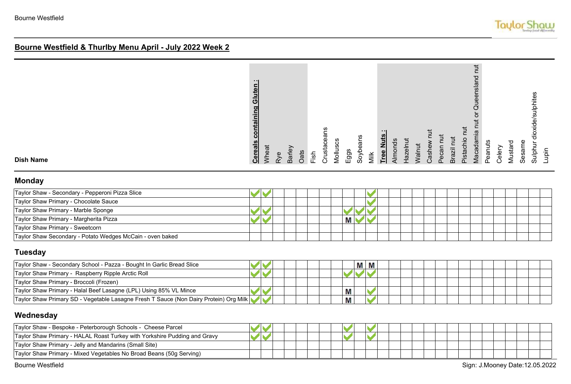| <b>Monday</b><br>Taylor Shaw - Secondary - Penneroni Pizza Slice |                                                                                                                                |                                                           |                                                           |                                                                                                                                                                                  |
|------------------------------------------------------------------|--------------------------------------------------------------------------------------------------------------------------------|-----------------------------------------------------------|-----------------------------------------------------------|----------------------------------------------------------------------------------------------------------------------------------------------------------------------------------|
| <b>Dish Name</b>                                                 | .<br>$\blacksquare$<br>$\bar{\bar{\mathbf{o}}}$<br>임<br>$\bar{\mathbf{z}}$<br><b>Cereals</b><br>Wheat<br>Barley<br>Oats<br>Rye | ans<br>Crusta<br>Mollus<br>Soybea<br>Eggs<br>Fish<br>Milk | Casher<br>ㅎ<br>Tree N<br>Almon<br>$N$ alnu<br>$rac{z}{1}$ | $\overline{a}$<br>ueenslan<br>dioxide/sulphites<br>Macadamia<br><u>۾</u> .<br>Peanuts<br>ᅙ<br>Sulphur<br>Mustar<br>Sesam<br>Pecan<br>Pistach<br>Celery<br><b>Brazil</b><br>Lupin |

| Taylor Shaw - Secondary - Pepperoni Pizza Slice           |  |  |  |  |   |  |  |  |  |  |  |
|-----------------------------------------------------------|--|--|--|--|---|--|--|--|--|--|--|
| Taylor Shaw Primary - Chocolate Sauce                     |  |  |  |  |   |  |  |  |  |  |  |
| Taylor Shaw Primary - Marble Sponge                       |  |  |  |  |   |  |  |  |  |  |  |
| Taylor Shaw Primary - Margherita Pizza                    |  |  |  |  | Μ |  |  |  |  |  |  |
| Taylor Shaw Primary - Sweetcorn                           |  |  |  |  |   |  |  |  |  |  |  |
| Taylor Shaw Secondary - Potato Wedges McCain - oven baked |  |  |  |  |   |  |  |  |  |  |  |

### **Tuesday**

| Taylor Shaw - Secondary School - Pazza - Bought In Garlic Bread Slice                 |  |  |  |   | М | М |  |  |  |  |  |  |
|---------------------------------------------------------------------------------------|--|--|--|---|---|---|--|--|--|--|--|--|
| Taylor Shaw Primary - Raspberry Ripple Arctic Roll                                    |  |  |  |   |   |   |  |  |  |  |  |  |
| Taylor Shaw Primary - Broccoli (Frozen)                                               |  |  |  |   |   |   |  |  |  |  |  |  |
| Taylor Shaw Primary - Halal Beef Lasagne (LPL) Using 85% VL Mince                     |  |  |  | M |   |   |  |  |  |  |  |  |
| Taylor Shaw Primary SD - Vegetable Lasagne Fresh T Sauce (Non Dairy Protein) Org Milk |  |  |  | M |   |   |  |  |  |  |  |  |

### **Wednesday**

| Taylor Shaw - Bespoke - Peterborough Schools - Cheese Parcel              |  |  |  |  |  |  |  |  |  |  |  |  |
|---------------------------------------------------------------------------|--|--|--|--|--|--|--|--|--|--|--|--|
| Taylor Shaw Primary - HALAL Roast Turkey with Yorkshire Pudding and Gravy |  |  |  |  |  |  |  |  |  |  |  |  |
| Taylor Shaw Primary - Jelly and Mandarins (Small Site)                    |  |  |  |  |  |  |  |  |  |  |  |  |
| Taylor Shaw Primary - Mixed Vegetables No Broad Beans (50g Serving)       |  |  |  |  |  |  |  |  |  |  |  |  |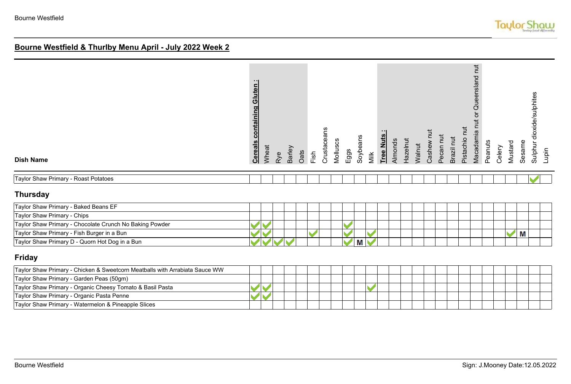| <b>Dish Name</b>                                                            | <b>Cereals containing Gluten:</b> | Wheat | Rye | Barley | Oats | Fish | Crustaceans | Molluscs | Eggs                 | Soybeans | Milk | Tree Nuts | Almonds | Hazelnut | Walnut | Cashew nut | Pecan nut | Brazil nut | Pistachio nut | Macadamia nut or Queensland nut | Peanuts | Celery | Mustard | Sesame | dioxide/sulphites<br>Sulphur<br>Lupin |
|-----------------------------------------------------------------------------|-----------------------------------|-------|-----|--------|------|------|-------------|----------|----------------------|----------|------|-----------|---------|----------|--------|------------|-----------|------------|---------------|---------------------------------|---------|--------|---------|--------|---------------------------------------|
| Taylor Shaw Primary - Roast Potatoes                                        |                                   |       |     |        |      |      |             |          |                      |          |      |           |         |          |        |            |           |            |               |                                 |         |        |         |        |                                       |
| <b>Thursday</b>                                                             |                                   |       |     |        |      |      |             |          |                      |          |      |           |         |          |        |            |           |            |               |                                 |         |        |         |        |                                       |
| Taylor Shaw Primary - Baked Beans EF                                        |                                   |       |     |        |      |      |             |          |                      |          |      |           |         |          |        |            |           |            |               |                                 |         |        |         |        |                                       |
| Taylor Shaw Primary - Chips                                                 |                                   |       |     |        |      |      |             |          |                      |          |      |           |         |          |        |            |           |            |               |                                 |         |        |         |        |                                       |
| Taylor Shaw Primary - Chocolate Crunch No Baking Powder                     |                                   |       |     |        |      |      |             |          |                      |          |      |           |         |          |        |            |           |            |               |                                 |         |        |         |        |                                       |
| Taylor Shaw Primary - Fish Burger in a Bun                                  |                                   |       |     |        |      |      |             |          |                      |          |      |           |         |          |        |            |           |            |               |                                 |         |        |         | M      |                                       |
| Taylor Shaw Primary D - Quorn Hot Dog in a Bun                              |                                   |       |     |        |      |      |             |          | $\blacktriangledown$ | M        |      |           |         |          |        |            |           |            |               |                                 |         |        |         |        |                                       |
| <b>Friday</b>                                                               |                                   |       |     |        |      |      |             |          |                      |          |      |           |         |          |        |            |           |            |               |                                 |         |        |         |        |                                       |
| Taylor Shaw Primary - Chicken & Sweetcorn Meatballs with Arrabiata Sauce WW |                                   |       |     |        |      |      |             |          |                      |          |      |           |         |          |        |            |           |            |               |                                 |         |        |         |        |                                       |

| Travior Straw Primary - Chicken & Sweetcorn Meatoalis with Afrabiata Sauce VVVV |  |  |  |  |  |  |  |  |  |  |  |
|---------------------------------------------------------------------------------|--|--|--|--|--|--|--|--|--|--|--|
| Taylor Shaw Primary - Garden Peas (50gm)                                        |  |  |  |  |  |  |  |  |  |  |  |
| Taylor Shaw Primary - Organic Cheesy Tomato & Basil Pasta                       |  |  |  |  |  |  |  |  |  |  |  |
| Taylor Shaw Primary - Organic Pasta Penne                                       |  |  |  |  |  |  |  |  |  |  |  |
| Taylor Shaw Primary - Watermelon & Pineapple Slices                             |  |  |  |  |  |  |  |  |  |  |  |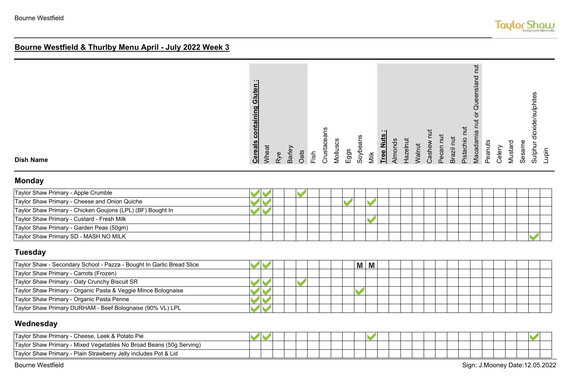| <b>Dish Name</b>                    | $\blacksquare$<br>containing Gluten<br><b>Cereals</b> | Wheat          | Rye | Barley<br>Oats | Fish | <u>၉</u><br>ق<br>Crusi | Molluscs | Eggs | Soybeans | Milk | ---<br>z<br>Tree | Almonds | Hazelnut | Walnut | Casher | Pecan | Ξ<br>Brazil | Pistachio | $\ddot{}$<br>짇<br>ueensla<br>C<br>Vlacadami | Peanuts | Celery | ᅙ<br>Mustar | Sesam | de/sulphites<br>੶ਜ਼<br>Sulph | Lupin |
|-------------------------------------|-------------------------------------------------------|----------------|-----|----------------|------|------------------------|----------|------|----------|------|------------------|---------|----------|--------|--------|-------|-------------|-----------|---------------------------------------------|---------|--------|-------------|-------|------------------------------|-------|
| <b>Monday</b>                       |                                                       |                |     |                |      |                        |          |      |          |      |                  |         |          |        |        |       |             |           |                                             |         |        |             |       |                              |       |
| Taylor Shaw Primary - Annie Crumble |                                                       | $\blacksquare$ |     |                |      |                        |          |      |          |      |                  |         |          |        |        |       |             |           |                                             |         |        |             |       |                              |       |

| Taylor Shaw Primary - Apple Crumble                        |  |  |  |  |  |  |  |  |  |  |  |  |
|------------------------------------------------------------|--|--|--|--|--|--|--|--|--|--|--|--|
| Taylor Shaw Primary - Cheese and Onion Quiche              |  |  |  |  |  |  |  |  |  |  |  |  |
| Taylor Shaw Primary - Chicken Goujons (LPL) (BF) Bought In |  |  |  |  |  |  |  |  |  |  |  |  |
| Taylor Shaw Primary - Custard - Fresh Milk                 |  |  |  |  |  |  |  |  |  |  |  |  |
| Taylor Shaw Primary - Garden Peas (50gm)                   |  |  |  |  |  |  |  |  |  |  |  |  |
| Taylor Shaw Primary SD - MASH NO MILK                      |  |  |  |  |  |  |  |  |  |  |  |  |

### **Tuesday**

| Taylor Shaw - Secondary School - Pazza - Bought In Garlic Bread Slice |  |  |  |  | M M |  |  |  |  |  |  |  |
|-----------------------------------------------------------------------|--|--|--|--|-----|--|--|--|--|--|--|--|
| Taylor Shaw Primary - Carrots (Frozen)                                |  |  |  |  |     |  |  |  |  |  |  |  |
| Taylor Shaw Primary - Oaty Crunchy Biscuit SR                         |  |  |  |  |     |  |  |  |  |  |  |  |
| Taylor Shaw Primary - Organic Pasta & Veggie Mince Bolognaise         |  |  |  |  |     |  |  |  |  |  |  |  |
| Taylor Shaw Primary - Organic Pasta Penne                             |  |  |  |  |     |  |  |  |  |  |  |  |
| Taylor Shaw Primary DURHAM - Beef Bolognaise (90% VL) LPL             |  |  |  |  |     |  |  |  |  |  |  |  |

#### **Wednesday**

| Cheese, Leek & Potato Pie<br>Taylor Shaw Primary - C                |  |  |  |  |  |  |  |  |  |  |  |  |
|---------------------------------------------------------------------|--|--|--|--|--|--|--|--|--|--|--|--|
| Taylor Shaw Primary - Mixed Vegetables No Broad Beans (50g Serving) |  |  |  |  |  |  |  |  |  |  |  |  |
| Taylor Shaw Primary - Plain Strawberry Jelly includes Pot & Lid     |  |  |  |  |  |  |  |  |  |  |  |  |